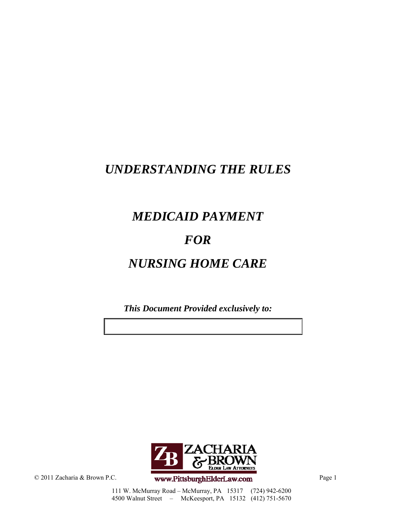# *UNDERSTANDING THE RULES*

# *MEDICAID PAYMENT*

# *FOR*

# *NURSING HOME CARE*

*This Document Provided exclusively to:*



© 2011 Zacharia & Brown P.C. **www.PittsburghElderLaw.com** Page 1

111 W. McMurray Road – McMurray, PA 15317 (724) 942-6200 4500 Walnut Street – McKeesport, PA 15132 (412) 751-5670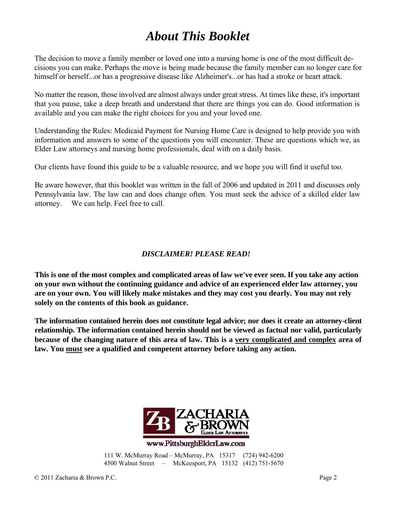# *About This Booklet*

The decision to move a family member or loved one into a nursing home is one of the most difficult decisions you can make. Perhaps the move is being made because the family member can no longer care for himself or herself...or has a progressive disease like Alzheimer's...or has had a stroke or heart attack.

No matter the reason, those involved are almost always under great stress. At times like these, it's important that you pause, take a deep breath and understand that there are things you can do. Good information is available and you can make the right choices for you and your loved one.

Understanding the Rules: Medicaid Payment for Nursing Home Care is designed to help provide you with information and answers to some of the questions you will encounter. These are questions which we, as Elder Law attorneys and nursing home professionals, deal with on a daily basis.

Our clients have found this guide to be a valuable resource, and we hope you will find it useful too.

Be aware however, that this booklet was written in the fall of 2006 and updated in 2011 and discusses only Pennsylvania law. The law can and does change often. You must seek the advice of a skilled elder law attorney. We can help. Feel free to call.

#### *DISCLAIMER! PLEASE READ!*

**This is one of the most complex and complicated areas of law we've ever seen. If you take any action on your own without the continuing guidance and advice of an experienced elder law attorney, you are on your own. You will likely make mistakes and they may cost you dearly. You may not rely solely on the contents of this book as guidance.**

**The information contained herein does not constitute legal advice; nor does it create an attorney-client relationship. The information contained herein should not be viewed as factual nor valid, particularly because of the changing nature of this area of law. This is a very complicated and complex area of law. You must see a qualified and competent attorney before taking any action.**



www.PittsburghElderLaw.com

111 W. McMurray Road – McMurray, PA 15317 (724) 942-6200 4500 Walnut Street – McKeesport, PA 15132 (412) 751-5670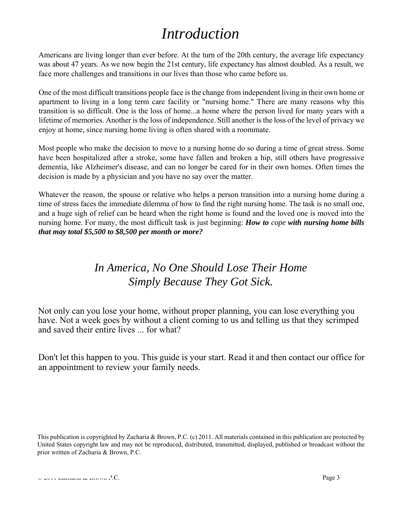# *Introduction*

Americans are living longer than ever before. At the turn of the 20th century, the average life expectancy was about 47 years. As we now begin the 21st century, life expectancy has almost doubled. As a result, we face more challenges and transitions in our lives than those who came before us.

One of the most difficult transitions people face is the change from independent living in their own home or apartment to living in a long term care facility or "nursing home." There are many reasons why this transition is so difficult. One is the loss of home...a home where the person lived for many years with a lifetime of memories. Another is the loss of independence. Still another is the loss of the level of privacy we enjoy at home, since nursing home living is often shared with a roommate.

Most people who make the decision to move to a nursing home do so during a time of great stress. Some have been hospitalized after a stroke, some have fallen and broken a hip, still others have progressive dementia, like Alzheimer's disease, and can no longer be cared for in their own homes. Often times the decision is made by a physician and you have no say over the matter.

Whatever the reason, the spouse or relative who helps a person transition into a nursing home during a time of stress faces the immediate dilemma of how to find the right nursing home. The task is no small one, and a huge sigh of relief can be heard when the right home is found and the loved one is moved into the nursing home. For many, the most difficult task is just beginning: *How to cope with nursing home bills that may total \$5,500 to \$8,500 per month or more?*

# *In America, No One Should Lose Their Home Simply Because They Got Sick.*

Not only can you lose your home, without proper planning, you can lose everything you have. Not a week goes by without a client coming to us and telling us that they scrimped and saved their entire lives ... for what?

Don't let this happen to you. This guide is your start. Read it and then contact our office for an appointment to review your family needs.

This publication is copyrighted by Zacharia & Brown, P.C. (c) 2011. All materials contained in this publication are protected by United States copyright law and may not be reproduced, distributed, transmitted, displayed, published or broadcast without the prior written of Zacharia & Brown, P.C.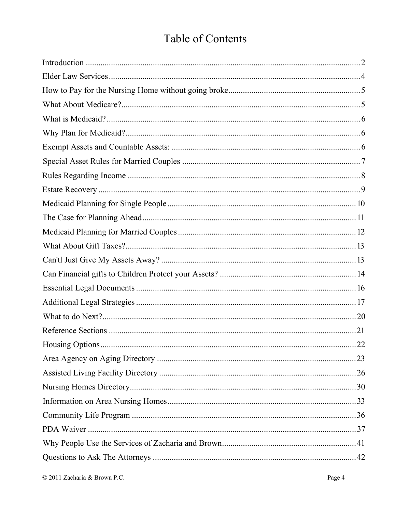# Table of Contents

| .22 |
|-----|
|     |
|     |
|     |
|     |
|     |
|     |
|     |
|     |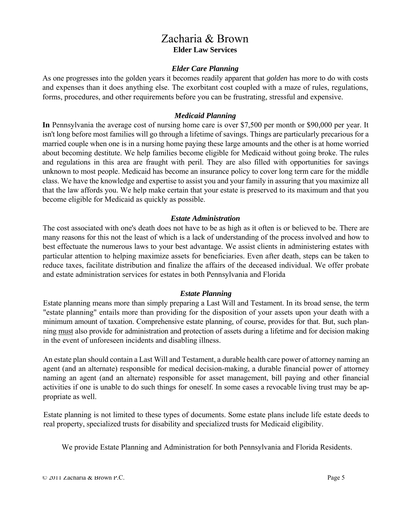### Zacharia & Brown **Elder Law Services**

#### *Elder Care Planning*

As one progresses into the golden years it becomes readily apparent that *golden* has more to do with costs and expenses than it does anything else. The exorbitant cost coupled with a maze of rules, regulations, forms, procedures, and other requirements before you can be frustrating, stressful and expensive.

#### *Medicaid Planning*

**In** Pennsylvania the average cost of nursing home care is over \$7,500 per month or \$90,000 per year. It isn't long before most families will go through a lifetime of savings. Things are particularly precarious for a married couple when one is in a nursing home paying these large amounts and the other is at home worried about becoming destitute. We help families become eligible for Medicaid without going broke. The rules and regulations in this area are fraught with peril. They are also filled with opportunities for savings unknown to most people. Medicaid has become an insurance policy to cover long term care for the middle class. We have the knowledge and expertise to assist you and your family in assuring that you maximize all that the law affords you. We help make certain that your estate is preserved to its maximum and that you become eligible for Medicaid as quickly as possible.

#### *Estate Administration*

The cost associated with one's death does not have to be as high as it often is or believed to be. There are many reasons for this not the least of which is a lack of understanding of the process involved and how to best effectuate the numerous laws to your best advantage. We assist clients in administering estates with particular attention to helping maximize assets for beneficiaries. Even after death, steps can be taken to reduce taxes, facilitate distribution and finalize the affairs of the deceased individual. We offer probate and estate administration services for estates in both Pennsylvania and Florida

#### *Estate Planning*

Estate planning means more than simply preparing a Last Will and Testament. In its broad sense, the term "estate planning" entails more than providing for the disposition of your assets upon your death with a minimum amount of taxation. Comprehensive estate planning, of course, provides for that. But, such planning must also provide for administration and protection of assets during a lifetime and for decision making in the event of unforeseen incidents and disabling illness.

An estate plan should contain a Last Will and Testament, a durable health care power of attorney naming an agent (and an alternate) responsible for medical decision-making, a durable financial power of attorney naming an agent (and an alternate) responsible for asset management, bill paying and other financial activities if one is unable to do such things for oneself. In some cases a revocable living trust may be appropriate as well.

Estate planning is not limited to these types of documents. Some estate plans include life estate deeds to real property, specialized trusts for disability and specialized trusts for Medicaid eligibility.

We provide Estate Planning and Administration for both Pennsylvania and Florida Residents.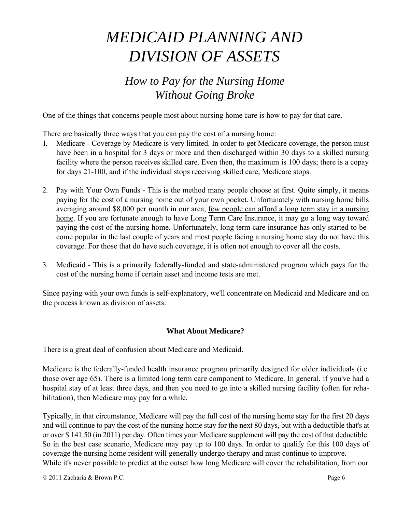# *MEDICAID PLANNING AND DIVISION OF ASSETS*

# *How to Pay for the Nursing Home Without Going Broke*

One of the things that concerns people most about nursing home care is how to pay for that care.

There are basically three ways that you can pay the cost of a nursing home:

- Medicare Coverage by Medicare is very limited. In order to get Medicare coverage, the person must have been in a hospital for 3 days or more and then discharged within 30 days to a skilled nursing facility where the person receives skilled care. Even then, the maximum is 100 days; there is a copay for days 21-100, and if the individual stops receiving skilled care, Medicare stops.
- 2. Pay with Your Own Funds This is the method many people choose at first. Quite simply, it means paying for the cost of a nursing home out of your own pocket. Unfortunately with nursing home bills averaging around \$8,000 per month in our area, few people can afford a long term stay in a nursing home. If you are fortunate enough to have Long Term Care Insurance, it may go a long way toward paying the cost of the nursing home. Unfortunately, long term care insurance has only started to become popular in the last couple of years and most people facing a nursing home stay do not have this coverage. For those that do have such coverage, it is often not enough to cover all the costs.
- 3. Medicaid This is a primarily federally-funded and state-administered program which pays for the cost of the nursing home if certain asset and income tests are met.

Since paying with your own funds is self-explanatory, we'll concentrate on Medicaid and Medicare and on the process known as division of assets.

#### **What About Medicare?**

There is a great deal of confusion about Medicare and Medicaid.

Medicare is the federally-funded health insurance program primarily designed for older individuals (i.e. those over age 65). There is a limited long term care component to Medicare. In general, if you've had a hospital stay of at least three days, and then you need to go into a skilled nursing facility (often for rehabilitation), then Medicare may pay for a while.

Typically, in that circumstance, Medicare will pay the full cost of the nursing home stay for the first 20 days and will continue to pay the cost of the nursing home stay for the next 80 days, but with a deductible that's at or over \$ 141.50 (in 2011) per day. Often times your Medicare supplement will pay the cost of that deductible. So in the best case scenario, Medicare may pay up to 100 days. In order to qualify for this 100 days of coverage the nursing home resident will generally undergo therapy and must continue to improve. While it's never possible to predict at the outset how long Medicare will cover the rehabilitation, from our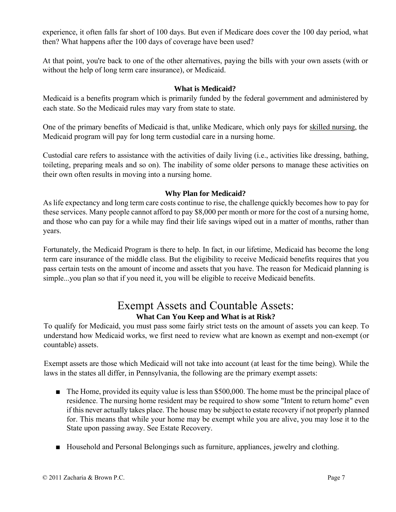experience, it often falls far short of 100 days. But even if Medicare does cover the 100 day period, what then? What happens after the 100 days of coverage have been used?

At that point, you're back to one of the other alternatives, paying the bills with your own assets (with or without the help of long term care insurance), or Medicaid.

#### **What is Medicaid?**

Medicaid is a benefits program which is primarily funded by the federal government and administered by each state. So the Medicaid rules may vary from state to state.

One of the primary benefits of Medicaid is that, unlike Medicare, which only pays for skilled nursing, the Medicaid program will pay for long term custodial care in a nursing home.

Custodial care refers to assistance with the activities of daily living (i.e., activities like dressing, bathing, toileting, preparing meals and so on). The inability of some older persons to manage these activities on their own often results in moving into a nursing home.

#### **Why Plan for Medicaid?**

As life expectancy and long term care costs continue to rise, the challenge quickly becomes how to pay for these services. Many people cannot afford to pay \$8,000 per month or more for the cost of a nursing home, and those who can pay for a while may find their life savings wiped out in a matter of months, rather than years.

Fortunately, the Medicaid Program is there to help. In fact, in our lifetime, Medicaid has become the long term care insurance of the middle class. But the eligibility to receive Medicaid benefits requires that you pass certain tests on the amount of income and assets that you have. The reason for Medicaid planning is simple...you plan so that if you need it, you will be eligible to receive Medicaid benefits.

### Exempt Assets and Countable Assets: **What Can You Keep and What is at Risk?**

To qualify for Medicaid, you must pass some fairly strict tests on the amount of assets you can keep. To understand how Medicaid works, we first need to review what are known as exempt and non-exempt (or countable) assets.

Exempt assets are those which Medicaid will not take into account (at least for the time being). While the laws in the states all differ, in Pennsylvania, the following are the primary exempt assets:

- The Home, provided its equity value is less than \$500,000. The home must be the principal place of residence. The nursing home resident may be required to show some "Intent to return home" even if this never actually takes place. The house may be subject to estate recovery if not properly planned for. This means that while your home may be exempt while you are alive, you may lose it to the State upon passing away. See Estate Recovery.
- Household and Personal Belongings such as furniture, appliances, jewelry and clothing.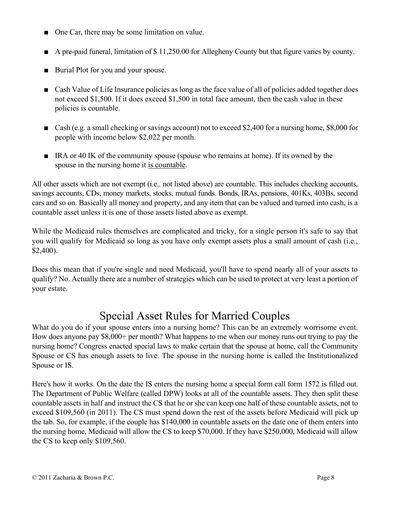- One Car, there may be some limitation on value.
- A pre-paid funeral, limitation of \$11,250.00 for Allegheny County but that figure varies by county.
- Burial Plot for you and your spouse.
- Cash Value of Life Insurance policies as long as the face value of all of policies added together does not exceed \$1,500. If it does exceed \$1,500 in total face amount, then the cash value in these policies is countable.
- Cash (e.g. a small checking or savings account) not to exceed \$2,400 for a nursing home, \$8,000 for people with income below \$2,022 per month.
- IRA or 40 IK of the community spouse (spouse who remains at home). If its owned by the spouse in the nursing home it is countable.

All other assets which are not exempt (i.e.. not listed above) are countable. This includes checking accounts, savings accounts, CDs, money markets, stocks, mutual funds. Bonds, IRAs, pensions, 401Ks, 403Bs, second cars and so on. Basically all money and property, and any item that can be valued and turned into cash, is a countable asset unless it is one of those assets listed above as exempt.

While the Medicaid rules themselves are complicated and tricky, for a single person it's safe to say that you will qualify for Medicaid so long as you have only exempt assets plus a small amount of cash (i.e., \$2,400).

Does this mean that if you're single and need Medicaid, you'll have to spend nearly all of your assets to qualify? No. Actually there are a number of strategies which can be used to protect at very least a portion of your estate.

# Special Asset Rules for Married Couples

What do you do if your spouse enters into a nursing home? This can be an extremely worrisome event. How does anyone pay \$8,000+ per month? What happens to me when our money runs out trying to pay the nursing home? Congress enacted special laws to make certain that the spouse at home, call the Community Spouse or CS has enough assets to live. The spouse in the nursing home is called the Institutionalized Spouse or IS.

Here's how it works. On the date the IS enters the nursing home a special form call form 1572 is filled out. The Department of Public Welfare (called DPW) looks at all of the countable assets. They then split these countable assets in half and instruct the CS that he or she can keep one half of these countable assets, not to exceed \$109,560 (in 2011). The CS must spend down the rest of the assets before Medicaid will pick up the tab. So, for example, if the couple has \$140,000 in countable assets on the date one of them enters into the nursing home, Medicaid will allow the CS to keep \$70,000. If they have \$250,000, Medicaid will allow the CS to keep only \$109,560.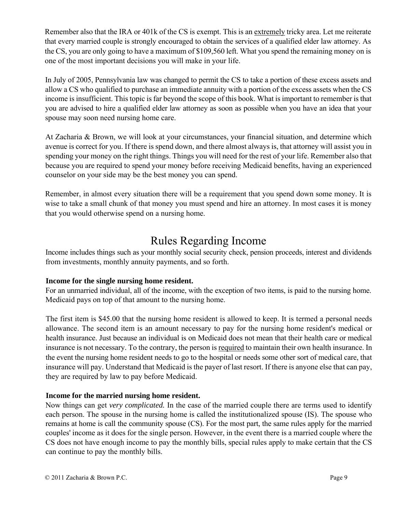Remember also that the IRA or 401k of the CS is exempt. This is an extremely tricky area. Let me reiterate that every married couple is strongly encouraged to obtain the services of a qualified elder law attorney. As the CS, you are only going to have a maximum of \$109,560 left. What you spend the remaining money on is one of the most important decisions you will make in your life.

In July of 2005, Pennsylvania law was changed to permit the CS to take a portion of these excess assets and allow a CS who qualified to purchase an immediate annuity with a portion of the excess assets when the CS income is insufficient. This topic is far beyond the scope of this book. What is important to remember is that you are advised to hire a qualified elder law attorney as soon as possible when you have an idea that your spouse may soon need nursing home care.

At Zacharia & Brown, we will look at your circumstances, your financial situation, and determine which avenue is correct for you. If there is spend down, and there almost always is, that attorney will assist you in spending your money on the right things. Things you will need for the rest of your life. Remember also that because you are required to spend your money before receiving Medicaid benefits, having an experienced counselor on your side may be the best money you can spend.

Remember, in almost every situation there will be a requirement that you spend down some money. It is wise to take a small chunk of that money you must spend and hire an attorney. In most cases it is money that you would otherwise spend on a nursing home.

## Rules Regarding Income

Income includes things such as your monthly social security check, pension proceeds, interest and dividends from investments, monthly annuity payments, and so forth.

#### **Income for the single nursing home resident.**

For an unmarried individual, all of the income, with the exception of two items, is paid to the nursing home. Medicaid pays on top of that amount to the nursing home.

The first item is \$45.00 that the nursing home resident is allowed to keep. It is termed a personal needs allowance. The second item is an amount necessary to pay for the nursing home resident's medical or health insurance. Just because an individual is on Medicaid does not mean that their health care or medical insurance is not necessary. To the contrary, the person is required to maintain their own health insurance. In the event the nursing home resident needs to go to the hospital or needs some other sort of medical care, that insurance will pay. Understand that Medicaid is the payer of last resort. If there is anyone else that can pay, they are required by law to pay before Medicaid.

#### **Income for the married nursing home resident.**

Now things can get *very complicated.* In the case of the married couple there are terms used to identify each person. The spouse in the nursing home is called the institutionalized spouse (IS). The spouse who remains at home is call the community spouse (CS). For the most part, the same rules apply for the married couples' income as it does for the single person. However, in the event there is a married couple where the CS does not have enough income to pay the monthly bills, special rules apply to make certain that the CS can continue to pay the monthly bills.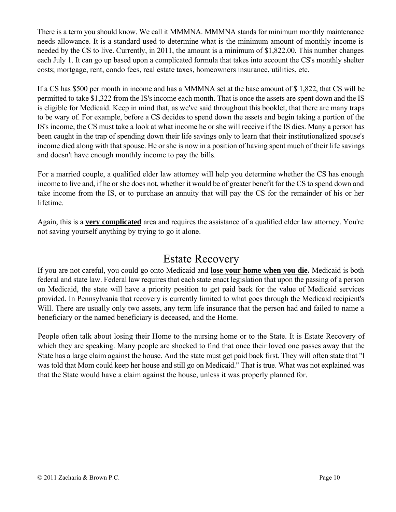There is a term you should know. We call it MMMNA. MMMNA stands for minimum monthly maintenance needs allowance. It is a standard used to determine what is the minimum amount of monthly income is needed by the CS to live. Currently, in 2011, the amount is a minimum of \$1,822.00. This number changes each July 1. It can go up based upon a complicated formula that takes into account the CS's monthly shelter costs; mortgage, rent, condo fees, real estate taxes, homeowners insurance, utilities, etc.

If a CS has \$500 per month in income and has a MMMNA set at the base amount of \$ 1,822, that CS will be permitted to take \$1,322 from the IS's income each month. That is once the assets are spent down and the IS is eligible for Medicaid. Keep in mind that, as we've said throughout this booklet, that there are many traps to be wary of. For example, before a CS decides to spend down the assets and begin taking a portion of the IS's income, the CS must take a look at what income he or she will receive if the IS dies. Many a person has been caught in the trap of spending down their life savings only to learn that their institutionalized spouse's income died along with that spouse. He or she is now in a position of having spent much of their life savings and doesn't have enough monthly income to pay the bills.

For a married couple, a qualified elder law attorney will help you determine whether the CS has enough income to live and, if he or she does not, whether it would be of greater benefit for the CS to spend down and take income from the IS, or to purchase an annuity that will pay the CS for the remainder of his or her lifetime.

Again, this is a **very complicated** area and requires the assistance of a qualified elder law attorney. You're not saving yourself anything by trying to go it alone.

### Estate Recovery

If you are not careful, you could go onto Medicaid and **lose your home when you die.** Medicaid is both federal and state law. Federal law requires that each state enact legislation that upon the passing of a person on Medicaid, the state will have a priority position to get paid back for the value of Medicaid services provided. In Pennsylvania that recovery is currently limited to what goes through the Medicaid recipient's Will. There are usually only two assets, any term life insurance that the person had and failed to name a beneficiary or the named beneficiary is deceased, and the Home.

People often talk about losing their Home to the nursing home or to the State. It is Estate Recovery of which they are speaking. Many people are shocked to find that once their loved one passes away that the State has a large claim against the house. And the state must get paid back first. They will often state that "I was told that Mom could keep her house and still go on Medicaid." That is true. What was not explained was that the State would have a claim against the house, unless it was properly planned for.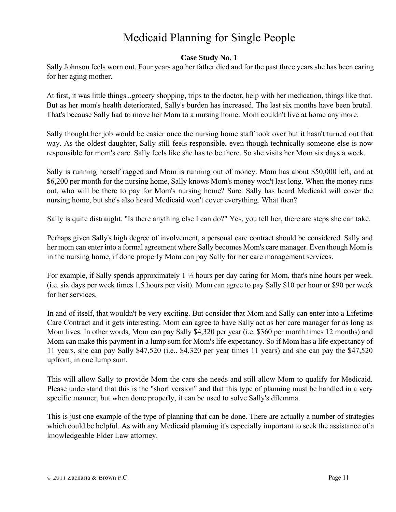# Medicaid Planning for Single People

#### **Case Study No. 1**

Sally Johnson feels worn out. Four years ago her father died and for the past three years she has been caring for her aging mother.

At first, it was little things...grocery shopping, trips to the doctor, help with her medication, things like that. But as her mom's health deteriorated, Sally's burden has increased. The last six months have been brutal. That's because Sally had to move her Mom to a nursing home. Mom couldn't live at home any more.

Sally thought her job would be easier once the nursing home staff took over but it hasn't turned out that way. As the oldest daughter, Sally still feels responsible, even though technically someone else is now responsible for mom's care. Sally feels like she has to be there. So she visits her Mom six days a week.

Sally is running herself ragged and Mom is running out of money. Mom has about \$50,000 left, and at \$6,200 per month for the nursing home, Sally knows Mom's money won't last long. When the money runs out, who will be there to pay for Mom's nursing home? Sure. Sally has heard Medicaid will cover the nursing home, but she's also heard Medicaid won't cover everything. What then?

Sally is quite distraught. "Is there anything else I can do?" Yes, you tell her, there are steps she can take.

Perhaps given Sally's high degree of involvement, a personal care contract should be considered. Sally and her mom can enter into a formal agreement where Sally becomes Mom's care manager. Even though Mom is in the nursing home, if done properly Mom can pay Sally for her care management services.

For example, if Sally spends approximately 1 ½ hours per day caring for Mom, that's nine hours per week. (i.e. six days per week times 1.5 hours per visit). Mom can agree to pay Sally \$10 per hour or \$90 per week for her services.

In and of itself, that wouldn't be very exciting. But consider that Mom and Sally can enter into a Lifetime Care Contract and it gets interesting. Mom can agree to have Sally act as her care manager for as long as Mom lives. In other words, Mom can pay Sally \$4,320 per year (i.e. \$360 per month times 12 months) and Mom can make this payment in a lump sum for Mom's life expectancy. So if Mom has a life expectancy of 11 years, she can pay Sally \$47,520 (i.e.. \$4,320 per year times 11 years) and she can pay the \$47,520 upfront, in one lump sum.

This will allow Sally to provide Mom the care she needs and still allow Mom to qualify for Medicaid. Please understand that this is the "short version" and that this type of planning must be handled in a very specific manner, but when done properly, it can be used to solve Sally's dilemma.

This is just one example of the type of planning that can be done. There are actually a number of strategies which could be helpful. As with any Medicaid planning it's especially important to seek the assistance of a knowledgeable Elder Law attorney.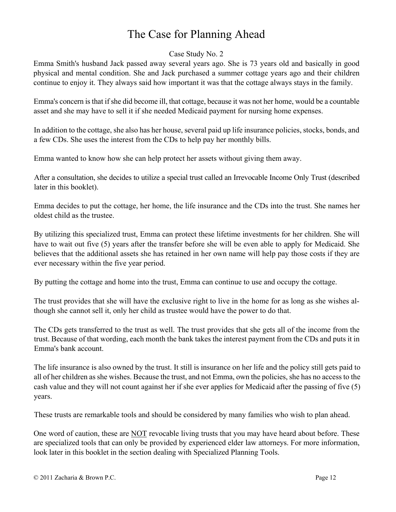# The Case for Planning Ahead

#### Case Study No. 2

Emma Smith's husband Jack passed away several years ago. She is 73 years old and basically in good physical and mental condition. She and Jack purchased a summer cottage years ago and their children continue to enjoy it. They always said how important it was that the cottage always stays in the family.

Emma's concern is that if she did become ill, that cottage, because it was not her home, would be a countable asset and she may have to sell it if she needed Medicaid payment for nursing home expenses.

In addition to the cottage, she also has her house, several paid up life insurance policies, stocks, bonds, and a few CDs. She uses the interest from the CDs to help pay her monthly bills.

Emma wanted to know how she can help protect her assets without giving them away.

After a consultation, she decides to utilize a special trust called an Irrevocable Income Only Trust (described later in this booklet).

Emma decides to put the cottage, her home, the life insurance and the CDs into the trust. She names her oldest child as the trustee.

By utilizing this specialized trust, Emma can protect these lifetime investments for her children. She will have to wait out five (5) years after the transfer before she will be even able to apply for Medicaid. She believes that the additional assets she has retained in her own name will help pay those costs if they are ever necessary within the five year period.

By putting the cottage and home into the trust, Emma can continue to use and occupy the cottage.

The trust provides that she will have the exclusive right to live in the home for as long as she wishes although she cannot sell it, only her child as trustee would have the power to do that.

The CDs gets transferred to the trust as well. The trust provides that she gets all of the income from the trust. Because of that wording, each month the bank takes the interest payment from the CDs and puts it in Emma's bank account.

The life insurance is also owned by the trust. It still is insurance on her life and the policy still gets paid to all of her children as she wishes. Because the trust, and not Emma, own the policies, she has no access to the cash value and they will not count against her if she ever applies for Medicaid after the passing of five (5) years.

These trusts are remarkable tools and should be considered by many families who wish to plan ahead.

One word of caution, these are NOT revocable living trusts that you may have heard about before. These are specialized tools that can only be provided by experienced elder law attorneys. For more information, look later in this booklet in the section dealing with Specialized Planning Tools.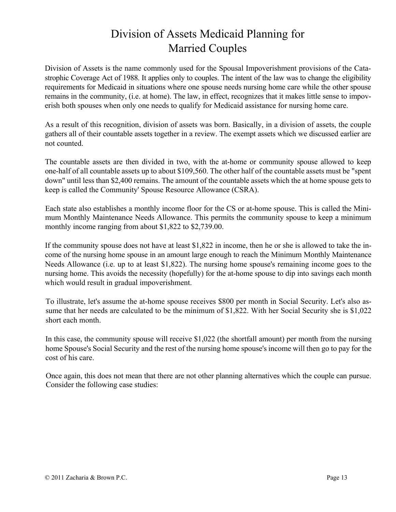# Division of Assets Medicaid Planning for Married Couples

Division of Assets is the name commonly used for the Spousal Impoverishment provisions of the Catastrophic Coverage Act of 1988. It applies only to couples. The intent of the law was to change the eligibility requirements for Medicaid in situations where one spouse needs nursing home care while the other spouse remains in the community, (i.e. at home). The law, in effect, recognizes that it makes little sense to impoverish both spouses when only one needs to qualify for Medicaid assistance for nursing home care.

As a result of this recognition, division of assets was born. Basically, in a division of assets, the couple gathers all of their countable assets together in a review. The exempt assets which we discussed earlier are not counted.

The countable assets are then divided in two, with the at-home or community spouse allowed to keep one-half of all countable assets up to about \$109,560. The other half of the countable assets must be "spent down" until less than \$2,400 remains. The amount of the countable assets which the at home spouse gets to keep is called the Community' Spouse Resource Allowance (CSRA).

Each state also establishes a monthly income floor for the CS or at-home spouse. This is called the Minimum Monthly Maintenance Needs Allowance. This permits the community spouse to keep a minimum monthly income ranging from about \$1,822 to \$2,739.00.

If the community spouse does not have at least \$1,822 in income, then he or she is allowed to take the income of the nursing home spouse in an amount large enough to reach the Minimum Monthly Maintenance Needs Allowance (i.e. up to at least \$1,822). The nursing home spouse's remaining income goes to the nursing home. This avoids the necessity (hopefully) for the at-home spouse to dip into savings each month which would result in gradual impoverishment.

To illustrate, let's assume the at-home spouse receives \$800 per month in Social Security. Let's also assume that her needs are calculated to be the minimum of \$1,822. With her Social Security she is \$1,022 short each month.

In this case, the community spouse will receive \$1,022 (the shortfall amount) per month from the nursing home Spouse's Social Security and the rest of the nursing home spouse's income will then go to pay for the cost of his care.

Once again, this does not mean that there are not other planning alternatives which the couple can pursue. Consider the following case studies: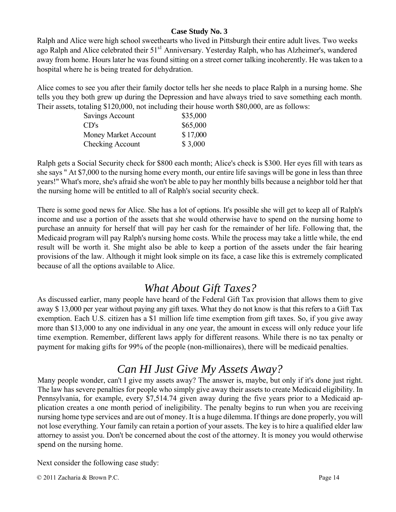#### **Case Study No. 3**

Ralph and Alice were high school sweethearts who lived in Pittsburgh their entire adult lives. Two weeks ago Ralph and Alice celebrated their 51<sup>s1</sup> Anniversary. Yesterday Ralph, who has Alzheimer's, wandered away from home. Hours later he was found sitting on a street corner talking incoherently. He was taken to a hospital where he is being treated for dehydration.

Alice comes to see you after their family doctor tells her she needs to place Ralph in a nursing home. She tells you they both grew up during the Depression and have always tried to save something each month. Their assets, totaling \$120,000, not including their house worth \$80,000, are as follows:

| Savings Account      | \$35,000 |
|----------------------|----------|
| CD's                 | \$65,000 |
| Money Market Account | \$17,000 |
| Checking Account     | \$3,000  |

Ralph gets a Social Security check for \$800 each month; Alice's check is \$300. Her eyes fill with tears as she says " At \$7,000 to the nursing home every month, our entire life savings will be gone in less than three years!" What's more, she's afraid she won't be able to pay her monthly bills because a neighbor told her that the nursing home will be entitled to all of Ralph's social security check.

There is some good news for Alice. She has a lot of options. It's possible she will get to keep all of Ralph's income and use a portion of the assets that she would otherwise have to spend on the nursing home to purchase an annuity for herself that will pay her cash for the remainder of her life. Following that, the Medicaid program will pay Ralph's nursing home costs. While the process may take a little while, the end result will be worth it. She might also be able to keep a portion of the assets under the fair hearing provisions of the law. Although it might look simple on its face, a case like this is extremely complicated because of all the options available to Alice.

### *What About Gift Taxes?*

As discussed earlier, many people have heard of the Federal Gift Tax provision that allows them to give away \$ 13,000 per year without paying any gift taxes. What they do not know is that this refers to a Gift Tax exemption. Each U.S. citizen has a \$1 million life time exemption from gift taxes. So, if you give away more than \$13,000 to any one individual in any one year, the amount in excess will only reduce your life time exemption. Remember, different laws apply for different reasons. While there is no tax penalty or payment for making gifts for 99% of the people (non-millionaires), there will be medicaid penalties.

### *Can HI Just Give My Assets Away?*

Many people wonder, can't I give my assets away? The answer is, maybe, but only if it's done just right. The law has severe penalties for people who simply give away their assets to create Medicaid eligibility. In Pennsylvania, for example, every \$7,514.74 given away during the five years prior to a Medicaid application creates a one month period of ineligibility. The penalty begins to run when you are receiving nursing home type services and are out of money. It is a huge dilemma. If things are done properly, you will not lose everything. Your family can retain a portion of your assets. The key is to hire a qualified elder law attorney to assist you. Don't be concerned about the cost of the attorney. It is money you would otherwise spend on the nursing home.

Next consider the following case study: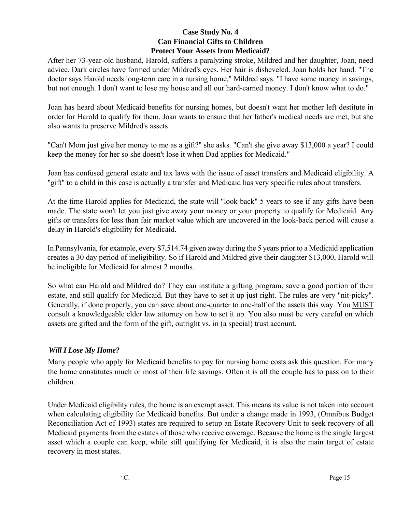#### **Case Study No. 4 Can Financial Gifts to Children Protect Your Assets from Medicaid?**

After her 73-year-old husband, Harold, suffers a paralyzing stroke, Mildred and her daughter, Joan, need advice. Dark circles have formed under Mildred's eyes. Her hair is disheveled. Joan holds her hand. "The doctor says Harold needs long-term care in a nursing home," Mildred says. "I have some money in savings, but not enough. I don't want to lose my house and all our hard-earned money. I don't know what to do."

Joan has heard about Medicaid benefits for nursing homes, but doesn't want her mother left destitute in order for Harold to qualify for them. Joan wants to ensure that her father's medical needs are met, but she also wants to preserve Mildred's assets.

"Can't Mom just give her money to me as a gift?" she asks. "Can't she give away \$13,000 a year? I could keep the money for her so she doesn't lose it when Dad applies for Medicaid."

Joan has confused general estate and tax laws with the issue of asset transfers and Medicaid eligibility. A "gift" to a child in this case is actually a transfer and Medicaid has very specific rules about transfers.

At the time Harold applies for Medicaid, the state will "look back" 5 years to see if any gifts have been made. The state won't let you just give away your money or your property to qualify for Medicaid. Any gifts or transfers for less than fair market value which are uncovered in the look-back period will cause a delay in Harold's eligibility for Medicaid.

In Pennsylvania, for example, every \$7,514.74 given away during the 5 years prior to a Medicaid application creates a 30 day period of ineligibility. So if Harold and Mildred give their daughter \$13,000, Harold will be ineligible for Medicaid for almost 2 months.

So what can Harold and Mildred do? They can institute a gifting program, save a good portion of their estate, and still qualify for Medicaid. But they have to set it up just right. The rules are very "nit-picky". Generally, if done properly, you can save about one-quarter to one-half of the assets this way. You MUST consult a knowledgeable elder law attorney on how to set it up. You also must be very careful on which assets are gifted and the form of the gift, outright vs. in (a special) trust account.

#### *Will I Lose My Home?*

Many people who apply for Medicaid benefits to pay for nursing home costs ask this question. For many the home constitutes much or most of their life savings. Often it is all the couple has to pass on to their children.

Under Medicaid eligibility rules, the home is an exempt asset. This means its value is not taken into account when calculating eligibility for Medicaid benefits. But under a change made in 1993, (Omnibus Budget Reconciliation Act of 1993) states are required to setup an Estate Recovery Unit to seek recovery of all Medicaid payments from the estates of those who receive coverage. Because the home is the single largest asset which a couple can keep, while still qualifying for Medicaid, it is also the main target of estate recovery in most states.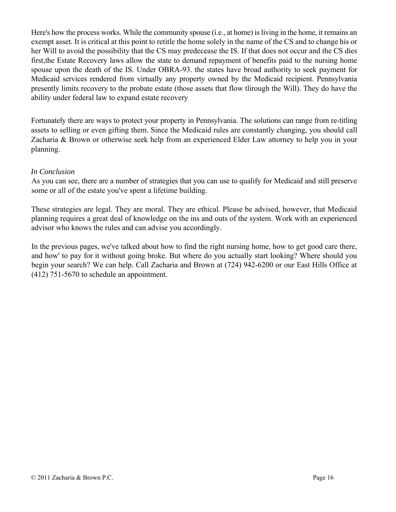Here's how the process works. While the community spouse (i.e., at home) is living in the home, it remains an exempt asset. It is critical at this point to retitle the home solely in the name of the CS and to change his or her Will to avoid the possibility that the CS may predecease the IS. If that does not occur and the CS dies first,the Estate Recovery laws allow the state to demand repayment of benefits paid to the nursing home spouse upon the death of the IS. Under OBRA-93. the states have broad authority to seek payment for Medicaid services rendered from virtually any property owned by the Medicaid recipient. Pennsylvania presently limits recovery to the probate estate (those assets that flow tlirough the Will). They do have the ability under federal law to expand estate recovery

Fortunately there are ways to protect your property in Pennsylvania. The solutions can range from re-titling assets to selling or even gifting them. Since the Medicaid rules are constantly changing, you should call Zacharia & Brown or otherwise seek help from an experienced Elder Law attorney to help you in your planning.

#### *In Conclusion*

As you can see, there are a number of strategies that you can use to qualify for Medicaid and still preserve some or all of the estate you've spent a lifetime building.

These strategies are legal. They are moral. They are ethical. Please be advised, however, that Medicaid planning requires a great deal of knowledge on the ins and outs of the system. Work with an experienced advisor who knows the rules and can advise you accordingly.

In the previous pages, we've talked about how to find the right nursing home, how to get good care there, and how' to pay for it without going broke. But where do you actually start looking? Where should you begin your search? We can help. Call Zacharia and Brown at (724) 942-6200 or our East Hills Office at (412) 751-5670 to schedule an appointment.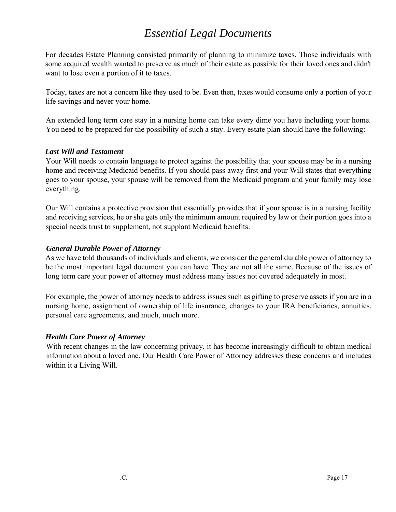### *Essential Legal Documents*

For decades Estate Planning consisted primarily of planning to minimize taxes. Those individuals with some acquired wealth wanted to preserve as much of their estate as possible for their loved ones and didn't want to lose even a portion of it to taxes.

Today, taxes are not a concern like they used to be. Even then, taxes would consume only a portion of your life savings and never your home.

An extended long term care stay in a nursing home can take every dime you have including your home. You need to be prepared for the possibility of such a stay. Every estate plan should have the following:

#### *Last Will and Testament*

Your Will needs to contain language to protect against the possibility that your spouse may be in a nursing home and receiving Medicaid benefits. If you should pass away first and your Will states that everything goes to your spouse, your spouse will be removed from the Medicaid program and your family may lose everything.

Our Will contains a protective provision that essentially provides that if your spouse is in a nursing facility and receiving services, he or she gets only the minimum amount required by law or their portion goes into a special needs trust to supplement, not supplant Medicaid benefits.

#### *General Durable Power of Attorney*

As we have told thousands of individuals and clients, we consider the general durable power of attorney to be the most important legal document you can have. They are not all the same. Because of the issues of long term care your power of attorney must address many issues not covered adequately in most.

For example, the power of attorney needs to address issues such as gifting to preserve assets if you are in a nursing home, assignment of ownership of life insurance, changes to your IRA beneficiaries, annuities, personal care agreements, and much, much more.

#### *Health Care Power of Attorney*

With recent changes in the law concerning privacy, it has become increasingly difficult to obtain medical information about a loved one. Our Health Care Power of Attorney addresses these concerns and includes within it a Living Will.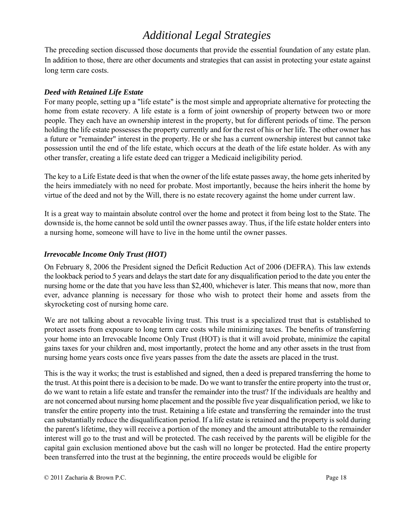## *Additional Legal Strategies*

The preceding section discussed those documents that provide the essential foundation of any estate plan. In addition to those, there are other documents and strategies that can assist in protecting your estate against long term care costs.

#### *Deed with Retained Life Estate*

For many people, setting up a "life estate" is the most simple and appropriate alternative for protecting the home from estate recovery. A life estate is a form of joint ownership of property between two or more people. They each have an ownership interest in the property, but for different periods of time. The person holding the life estate possesses the property currently and for the rest of his or her life. The other owner has a future or "remainder" interest in the property. He or she has a current ownership interest but cannot take possession until the end of the life estate, which occurs at the death of the life estate holder. As with any other transfer, creating a life estate deed can trigger a Medicaid ineligibility period.

The key to a Life Estate deed is that when the owner of the life estate passes away, the home gets inherited by the heirs immediately with no need for probate. Most importantly, because the heirs inherit the home by virtue of the deed and not by the Will, there is no estate recovery against the home under current law.

It is a great way to maintain absolute control over the home and protect it from being lost to the State. The downside is, the home cannot be sold until the owner passes away. Thus, if the life estate holder enters into a nursing home, someone will have to live in the home until the owner passes.

#### *Irrevocable Income Only Trust (HOT)*

On February 8, 2006 the President signed the Deficit Reduction Act of 2006 (DEFRA). This law extends the lookback period to 5 years and delays the start date for any disqualification period to the date you enter the nursing home or the date that you have less than \$2,400, whichever is later. This means that now, more than ever, advance planning is necessary for those who wish to protect their home and assets from the skyrocketing cost of nursing home care.

We are not talking about a revocable living trust. This trust is a specialized trust that is established to protect assets from exposure to long term care costs while minimizing taxes. The benefits of transferring your home into an Irrevocable Income Only Trust (HOT) is that it will avoid probate, minimize the capital gains taxes for your children and, most importantly, protect the home and any other assets in the trust from nursing home years costs once five years passes from the date the assets are placed in the trust.

This is the way it works; the trust is established and signed, then a deed is prepared transferring the home to the trust. At this point there is a decision to be made. Do we want to transfer the entire property into the trust or, do we want to retain a life estate and transfer the remainder into the trust? If the individuals are healthy and are not concerned about nursing home placement and the possible five year disqualification period, we like to transfer the entire property into the trust. Retaining a life estate and transferring the remainder into the trust can substantially reduce the disqualification period. If a life estate is retained and the property is sold during the parent's lifetime, they will receive a portion of the money and the amount attributable to the remainder interest will go to the trust and will be protected. The cash received by the parents will be eligible for the capital gain exclusion mentioned above but the cash will no longer be protected. Had the entire property been transferred into the trust at the beginning, the entire proceeds would be eligible for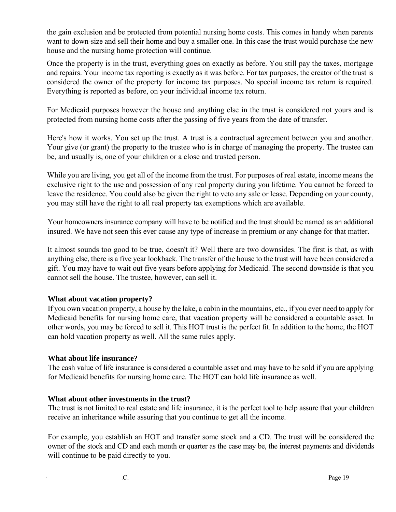the gain exclusion and be protected from potential nursing home costs. This comes in handy when parents want to down-size and sell their home and buy a smaller one. In this case the trust would purchase the new house and the nursing home protection will continue.

Once the property is in the trust, everything goes on exactly as before. You still pay the taxes, mortgage and repairs. Your income tax reporting is exactly as it was before. For tax purposes, the creator of the trust is considered the owner of the property for income tax purposes. No special income tax return is required. Everything is reported as before, on your individual income tax return.

For Medicaid purposes however the house and anything else in the trust is considered not yours and is protected from nursing home costs after the passing of five years from the date of transfer.

Here's how it works. You set up the trust. A trust is a contractual agreement between you and another. Your give (or grant) the property to the trustee who is in charge of managing the property. The trustee can be, and usually is, one of your children or a close and trusted person.

While you are living, you get all of the income from the trust. For purposes of real estate, income means the exclusive right to the use and possession of any real property during you lifetime. You cannot be forced to leave the residence. You could also be given the right to veto any sale or lease. Depending on your county, you may still have the right to all real property tax exemptions which are available.

Your homeowners insurance company will have to be notified and the trust should be named as an additional insured. We have not seen this ever cause any type of increase in premium or any change for that matter.

It almost sounds too good to be true, doesn't it? Well there are two downsides. The first is that, as with anything else, there is a five year lookback. The transfer of the house to the trust will have been considered a gift. You may have to wait out five years before applying for Medicaid. The second downside is that you cannot sell the house. The trustee, however, can sell it.

#### **What about vacation property?**

If you own vacation property, a house by the lake, a cabin in the mountains, etc., if you ever need to apply for Medicaid benefits for nursing home care, that vacation property will be considered a countable asset. In other words, you may be forced to sell it. This HOT trust is the perfect fit. In addition to the home, the HOT can hold vacation property as well. All the same rules apply.

#### **What about life insurance?**

The cash value of life insurance is considered a countable asset and may have to be sold if you are applying for Medicaid benefits for nursing home care. The HOT can hold life insurance as well.

#### **What about other investments in the trust?**

The trust is not limited to real estate and life insurance, it is the perfect tool to help assure that your children receive an inheritance while assuring that you continue to get all the income.

For example, you establish an HOT and transfer some stock and a CD. The trust will be considered the owner of the stock and CD and each month or quarter as the case may be, the interest payments and dividends will continue to be paid directly to you.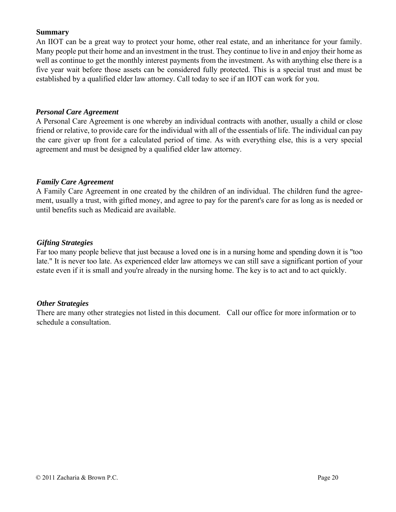#### **Summary**

An IIOT can be a great way to protect your home, other real estate, and an inheritance for your family. Many people put their home and an investment in the trust. They continue to live in and enjoy their home as well as continue to get the monthly interest payments from the investment. As with anything else there is a five year wait before those assets can be considered fully protected. This is a special trust and must be established by a qualified elder law attorney. Call today to see if an IIOT can work for you.

#### *Personal Care Agreement*

A Personal Care Agreement is one whereby an individual contracts with another, usually a child or close friend or relative, to provide care for the individual with all of the essentials of life. The individual can pay the care giver up front for a calculated period of time. As with everything else, this is a very special agreement and must be designed by a qualified elder law attorney.

#### *Family Care Agreement*

A Family Care Agreement in one created by the children of an individual. The children fund the agreement, usually a trust, with gifted money, and agree to pay for the parent's care for as long as is needed or until benefits such as Medicaid are available.

#### *Gifting Strategies*

Far too many people believe that just because a loved one is in a nursing home and spending down it is "too late." It is never too late. As experienced elder law attorneys we can still save a significant portion of your estate even if it is small and you're already in the nursing home. The key is to act and to act quickly.

#### *Other Strategies*

There are many other strategies not listed in this document. Call our office for more information or to schedule a consultation.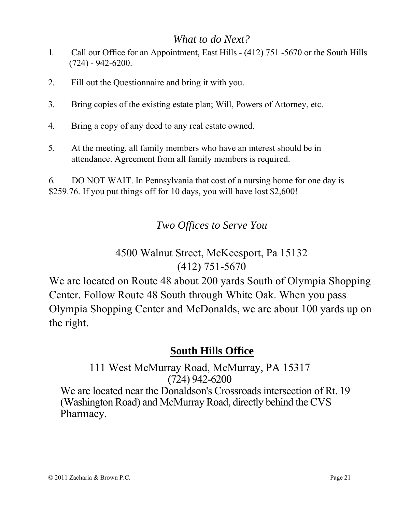### *What to do Next?*

- 1. Call our Office for an Appointment, East Hills (412) 751 -5670 or the South Hills (724) - 942-6200.
- 2. Fill out the Questionnaire and bring it with you.
- 3. Bring copies of the existing estate plan; Will, Powers of Attorney, etc.
- 4. Bring a copy of any deed to any real estate owned.
- 5. At the meeting, all family members who have an interest should be in attendance. Agreement from all family members is required.

6. DO NOT WAIT. In Pennsylvania that cost of a nursing home for one day is \$259.76. If you put things off for 10 days, you will have lost \$2,600!

*Two Offices to Serve You*

# 4500 Walnut Street, McKeesport, Pa 15132 (412) 751-5670

We are located on Route 48 about 200 yards South of Olympia Shopping Center. Follow Route 48 South through White Oak. When you pass Olympia Shopping Center and McDonalds, we are about 100 yards up on the right.

### **South Hills Office**

111 West McMurray Road, McMurray, PA 15317 (724) 942-6200 We are located near the Donaldson's Crossroads intersection of Rt. 19 (Washington Road) and McMurray Road, directly behind the CVS Pharmacy.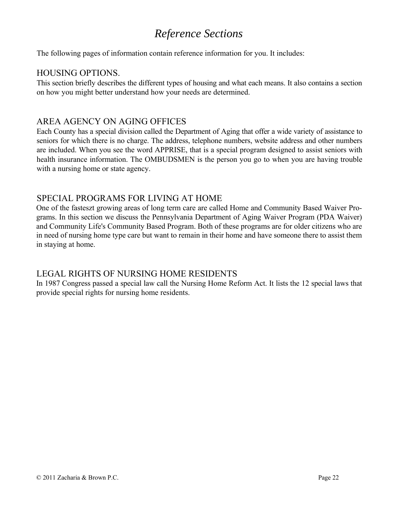## *Reference Sections*

The following pages of information contain reference information for you. It includes:

#### HOUSING OPTIONS.

This section briefly describes the different types of housing and what each means. It also contains a section on how you might better understand how your needs are determined.

#### AREA AGENCY ON AGING OFFICES

Each County has a special division called the Department of Aging that offer a wide variety of assistance to seniors for which there is no charge. The address, telephone numbers, website address and other numbers are included. When you see the word APPRISE, that is a special program designed to assist seniors with health insurance information. The OMBUDSMEN is the person you go to when you are having trouble with a nursing home or state agency.

#### SPECIAL PROGRAMS FOR LIVING AT HOME

One of the fasteszt growing areas of long term care are called Home and Community Based Waiver Programs. In this section we discuss the Pennsylvania Department of Aging Waiver Program (PDA Waiver) and Community Life's Community Based Program. Both of these programs are for older citizens who are in need of nursing home type care but want to remain in their home and have someone there to assist them in staying at home.

#### LEGAL RIGHTS OF NURSING HOME RESIDENTS

In 1987 Congress passed a special law call the Nursing Home Reform Act. It lists the 12 special laws that provide special rights for nursing home residents.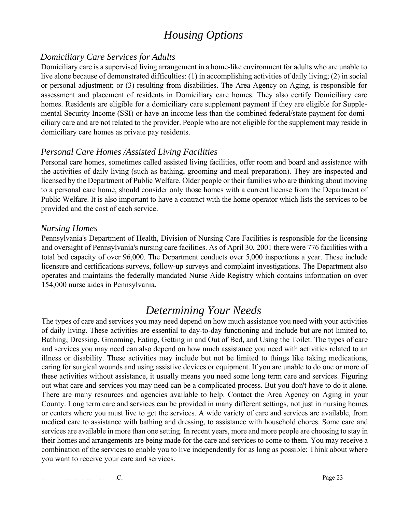### *Housing Options*

#### *Domiciliary Care Services for Adults*

Domiciliary care is a supervised living arrangement in a home-like environment for adults who are unable to live alone because of demonstrated difficulties: (1) in accomplishing activities of daily living; (2) in social or personal adjustment; or (3) resulting from disabilities. The Area Agency on Aging, is responsible for assessment and placement of residents in Domiciliary care homes. They also certify Domiciliary care homes. Residents are eligible for a domiciliary care supplement payment if they are eligible for Supplemental Security Income (SSI) or have an income less than the combined federal/state payment for domiciliary care and are not related to the provider. People who are not eligible for the supplement may reside in domiciliary care homes as private pay residents.

#### *Personal Care Homes /Assisted Living Facilities*

Personal care homes, sometimes called assisted living facilities, offer room and board and assistance with the activities of daily living (such as bathing, grooming and meal preparation). They are inspected and licensed by the Department of Public Welfare. Older people or their families who are thinking about moving to a personal care home, should consider only those homes with a current license from the Department of Public Welfare. It is also important to have a contract with the home operator which lists the services to be provided and the cost of each service.

#### *Nursing Homes*

Pennsylvania's Department of Health, Division of Nursing Care Facilities is responsible for the licensing and oversight of Pennsylvania's nursing care facilities. As of April 30, 2001 there were 776 facilities with a total bed capacity of over 96,000. The Department conducts over 5,000 inspections a year. These include licensure and certifications surveys, follow-up surveys and complaint investigations. The Department also operates and maintains the federally mandated Nurse Aide Registry which contains information on over 154,000 nurse aides in Pennsylvania.

### *Determining Your Needs*

The types of care and services you may need depend on how much assistance you need with your activities of daily living. These activities are essential to day-to-day functioning and include but are not limited to, Bathing, Dressing, Grooming, Eating, Getting in and Out of Bed, and Using the Toilet. The types of care and services you may need can also depend on how much assistance you need with activities related to an illness or disability. These activities may include but not be limited to things like taking medications, caring for surgical wounds and using assistive devices or equipment. If you are unable to do one or more of these activities without assistance, it usually means you need some long term care and services. Figuring out what care and services you may need can be a complicated process. But you don't have to do it alone. There are many resources and agencies available to help. Contact the Area Agency on Aging in your County. Long term care and services can be provided in many different settings, not just in nursing homes or centers where you must live to get the services. A wide variety of care and services are available, from medical care to assistance with bathing and dressing, to assistance with household chores. Some care and services are available in more than one setting. In recent years, more and more people are choosing to stay in their homes and arrangements are being made for the care and services to come to them. You may receive a combination of the services to enable you to live independently for as long as possible: Think about where you want to receive your care and services.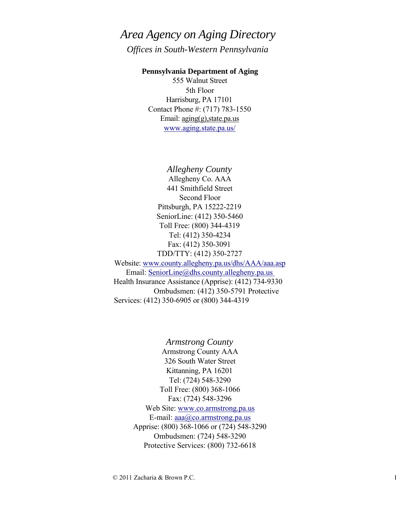# *Area Agency on Aging Directory*

*Offices in South-Western Pennsylvania*

#### **Pennsylvania Department of Aging**

555 Walnut Street 5th Floor Harrisburg, PA 17101 Contact Phone #: (717) 783-1550 Email: aging(g),state.pa.us www.aging.state.pa.us/

*Allegheny County* Allegheny Co. AAA 441 Smithfield Street Second Floor Pittsburgh, PA 15222-2219 SeniorLine: (412) 350-5460 Toll Free: (800) 344-4319 Tel: (412) 350-4234 Fax: (412) 350-3091 TDD/TTY: (412) 350-2727 Website: www.county.allegheny.pa.us/dhs/AAA/aaa.asp Email: SeniorLine@dhs.county.allegheny.pa.us Health Insurance Assistance (Apprise): (412) 734-9330 Ombudsmen: (412) 350-5791 Protective Services: (412) 350-6905 or (800) 344-4319

> *Armstrong County* Armstrong County AAA 326 South Water Street Kittanning, PA 16201 Tel: (724) 548-3290 Toll Free: (800) 368-1066 Fax: (724) 548-3296 Web Site: www.co.armstrong.pa.us E-mail:  $aaa@co.armstrong.pa.us$ Apprise: (800) 368-1066 or (724) 548-3290 Ombudsmen: (724) 548-3290 Protective Services: (800) 732-6618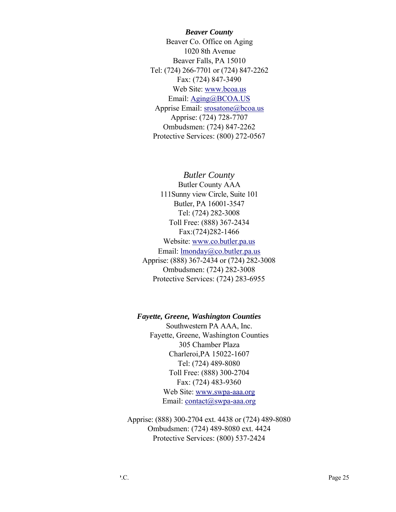*Beaver County* Beaver Co. Office on Aging 1020 8th Avenue Beaver Falls, PA 15010 Tel: (724) 266-7701 or (724) 847-2262 Fax: (724) 847-3490 Web Site: www.bcoa.us Email: Aging@BCOA.US Apprise Email: srosatone@bcoa.us Apprise: (724) 728-7707 Ombudsmen: (724) 847-2262 Protective Services: (800) 272-0567

*Butler County* Butler County AAA 111Sunny view Circle, Suite 101 Butler, PA 16001-3547 Tel: (724) 282-3008 Toll Free: (888) 367-2434 Fax:(724)282-1466 Website: www.co.butler.pa.us Email: lmonday@co.butler.pa.us Apprise: (888) 367-2434 or (724) 282-3008 Ombudsmen: (724) 282-3008 Protective Services: (724) 283-6955

#### *Fayette, Greene, Washington Counties*

Southwestern PA AAA, Inc. Fayette, Greene, Washington Counties 305 Chamber Plaza Charleroi,PA 15022-1607 Tel: (724) 489-8080 Toll Free: (888) 300-2704 Fax: (724) 483-9360 Web Site: www.swpa-aaa.org Email: contact@swpa-aaa.org

Apprise: (888) 300-2704 ext. 4438 or (724) 489-8080 Ombudsmen: (724) 489-8080 ext. 4424 Protective Services: (800) 537-2424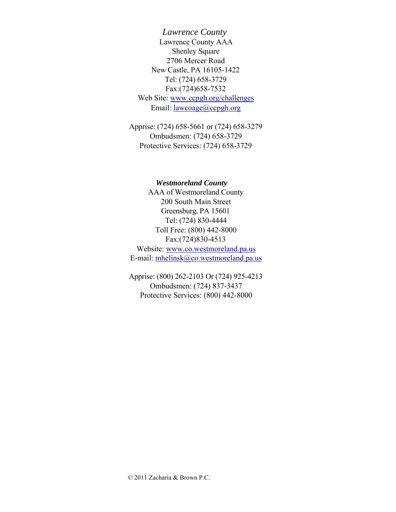*Lawrence County* Lawrence County AAA Shenley Square 2706 Mercer Road New Castle, PA 16105-1422 Tel: (724) 658-3729 Fax:(724)658-7532 Web Site: www.ccpgh.org/challenges Email: lawcoage@ccpgh.org

Apprise: (724) 658-5661 or (724) 658-3279 Ombudsmen: (724) 658-3729 Protective Services: (724) 658-3729

#### *Westmoreland County*

AAA of Westmoreland County 200 South Main Street Greensburg, PA 15601 Tel: (724) 830-4444 Toll Free: (800) 442-8000 Fax:(724)830-4513 Website: www.co.westmoreland.pa.us E-mail: mhelinsk@co.westmoreland.pa.us

Apprise: (800) 262-2103 Or (724) 925-4213 Ombudsmen: (724) 837-3437 Protective Services: (800) 442-8000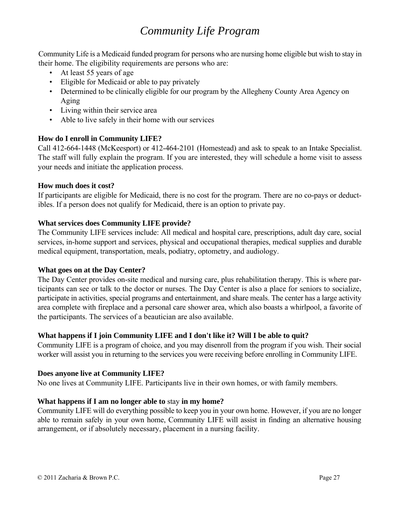## *Community Life Program*

Community Life is a Medicaid funded program for persons who are nursing home eligible but wish to stay in their home. The eligibility requirements are persons who are:

- At least 55 years of age
- Eligible for Medicaid or able to pay privately
- Determined to be clinically eligible for our program by the Allegheny County Area Agency on Aging
- Living within their service area
- Able to live safely in their home with our services

#### **How do I enroll in Community LIFE?**

Call 412-664-1448 (McKeesport) or 412-464-2101 (Homestead) and ask to speak to an Intake Specialist. The staff will fully explain the program. If you are interested, they will schedule a home visit to assess your needs and initiate the application process.

#### **How much does it cost?**

If participants are eligible for Medicaid, there is no cost for the program. There are no co-pays or deductibles. If a person does not qualify for Medicaid, there is an option to private pay.

#### **What services does Community LIFE provide?**

The Community LIFE services include: All medical and hospital care, prescriptions, adult day care, social services, in-home support and services, physical and occupational therapies, medical supplies and durable medical equipment, transportation, meals, podiatry, optometry, and audiology.

#### **What goes on at the Day Center?**

The Day Center provides on-site medical and nursing care, plus rehabilitation therapy. This is where participants can see or talk to the doctor or nurses. The Day Center is also a place for seniors to socialize, participate in activities, special programs and entertainment, and share meals. The center has a large activity area complete with fireplace and a personal care shower area, which also boasts a whirlpool, a favorite of the participants. The services of a beautician are also available.

#### **What happens if I join Community LIFE and I don't like it? Will I be able to quit?**

Community LIFE is a program of choice, and you may disenroll from the program if you wish. Their social worker will assist you in returning to the services you were receiving before enrolling in Community LIFE.

#### **Does anyone live at Community LIFE?**

No one lives at Community LIFE. Participants live in their own homes, or with family members.

#### **What happens if I am no longer able to** stay **in my home?**

Community LIFE will do everything possible to keep you in your own home. However, if you are no longer able to remain safely in your own home, Community LIFE will assist in finding an alternative housing arrangement, or if absolutely necessary, placement in a nursing facility.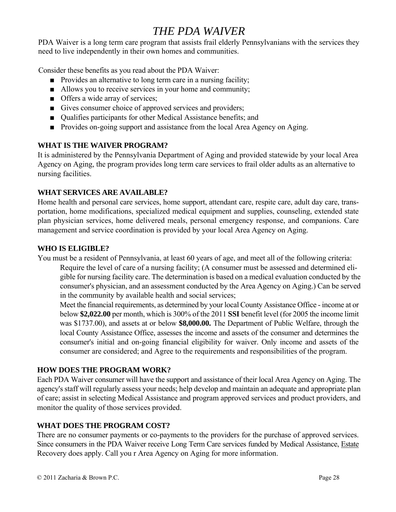## *THE PDA WAIVER*

PDA Waiver is a long term care program that assists frail elderly Pennsylvanians with the services they need to live independently in their own homes and communities.

Consider these benefits as you read about the PDA Waiver:

- Provides an alternative to long term care in a nursing facility;
- Allows you to receive services in your home and community;
- Offers a wide array of services;
- Gives consumer choice of approved services and providers;
- Qualifies participants for other Medical Assistance benefits; and
- Provides on-going support and assistance from the local Area Agency on Aging.

#### **WHAT IS THE WAIVER PROGRAM?**

It is administered by the Pennsylvania Department of Aging and provided statewide by your local Area Agency on Aging, the program provides long term care services to frail older adults as an alternative to nursing facilities.

#### **WHAT SERVICES ARE AVAILABLE?**

Home health and personal care services, home support, attendant care, respite care, adult day care, transportation, home modifications, specialized medical equipment and supplies, counseling, extended state plan physician services, home delivered meals, personal emergency response, and companions. Care management and service coordination is provided by your local Area Agency on Aging.

#### **WHO IS ELIGIBLE?**

You must be a resident of Pennsylvania, at least 60 years of age, and meet all of the following criteria:

Require the level of care of a nursing facility; (A consumer must be assessed and determined eligible for nursing facility care. The determination is based on a medical evaluation conducted by the consumer's physician, and an assessment conducted by the Area Agency on Aging.) Can be served in the community by available health and social services;

Meet the financial requirements, as determined by your local County Assistance Office - income at or below **\$2,022.00** per month, which is 300% of the 2011 **SSI** benefit level (for 2005 the income limit was \$1737.00), and assets at or below **\$8,000.00.** The Department of Public Welfare, through the local County Assistance Office, assesses the income and assets of the consumer and determines the consumer's initial and on-going financial eligibility for waiver. Only income and assets of the consumer are considered; and Agree to the requirements and responsibilities of the program.

#### **HOW DOES THE PROGRAM WORK?**

Each PDA Waiver consumer will have the support and assistance of their local Area Agency on Aging. The agency's staff will regularly assess your needs; help develop and maintain an adequate and appropriate plan of care; assist in selecting Medical Assistance and program approved services and product providers, and monitor the quality of those services provided.

#### **WHAT DOES THE PROGRAM COST?**

There are no consumer payments or co-payments to the providers for the purchase of approved services. Since consumers in the PDA Waiver receive Long Term Care services funded by Medical Assistance, Estate Recovery does apply. Call you r Area Agency on Aging for more information.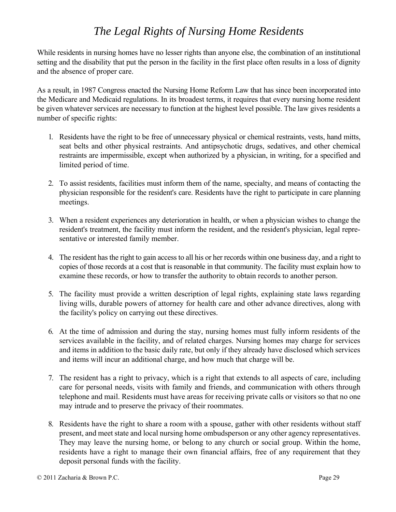## *The Legal Rights of Nursing Home Residents*

While residents in nursing homes have no lesser rights than anyone else, the combination of an institutional setting and the disability that put the person in the facility in the first place often results in a loss of dignity and the absence of proper care.

As a result, in 1987 Congress enacted the Nursing Home Reform Law that has since been incorporated into the Medicare and Medicaid regulations. In its broadest terms, it requires that every nursing home resident be given whatever services are necessary to function at the highest level possible. The law gives residents a number of specific rights:

- 1. Residents have the right to be free of unnecessary physical or chemical restraints, vests, hand mitts, seat belts and other physical restraints. And antipsychotic drugs, sedatives, and other chemical restraints are impermissible, except when authorized by a physician, in writing, for a specified and limited period of time.
- 2. To assist residents, facilities must inform them of the name, specialty, and means of contacting the physician responsible for the resident's care. Residents have the right to participate in care planning meetings.
- 3. When a resident experiences any deterioration in health, or when a physician wishes to change the resident's treatment, the facility must inform the resident, and the resident's physician, legal representative or interested family member.
- 4. The resident has the right to gain access to all his or her records within one business day, and a right to copies of those records at a cost that is reasonable in that community. The facility must explain how to examine these records, or how to transfer the authority to obtain records to another person.
- 5. The facility must provide a written description of legal rights, explaining state laws regarding living wills, durable powers of attorney for health care and other advance directives, along with the facility's policy on carrying out these directives.
- 6. At the time of admission and during the stay, nursing homes must fully inform residents of the services available in the facility, and of related charges. Nursing homes may charge for services and items in addition to the basic daily rate, but only if they already have disclosed which services and items will incur an additional charge, and how much that charge will be.
- 7. The resident has a right to privacy, which is a right that extends to all aspects of care, including care for personal needs, visits with family and friends, and communication with others through telephone and mail. Residents must have areas for receiving private calls or visitors so that no one may intrude and to preserve the privacy of their roommates.
- 8. Residents have the right to share a room with a spouse, gather with other residents without staff present, and meet state and local nursing home ombudsperson or any other agency representatives. They may leave the nursing home, or belong to any church or social group. Within the home, residents have a right to manage their own financial affairs, free of any requirement that they deposit personal funds with the facility.